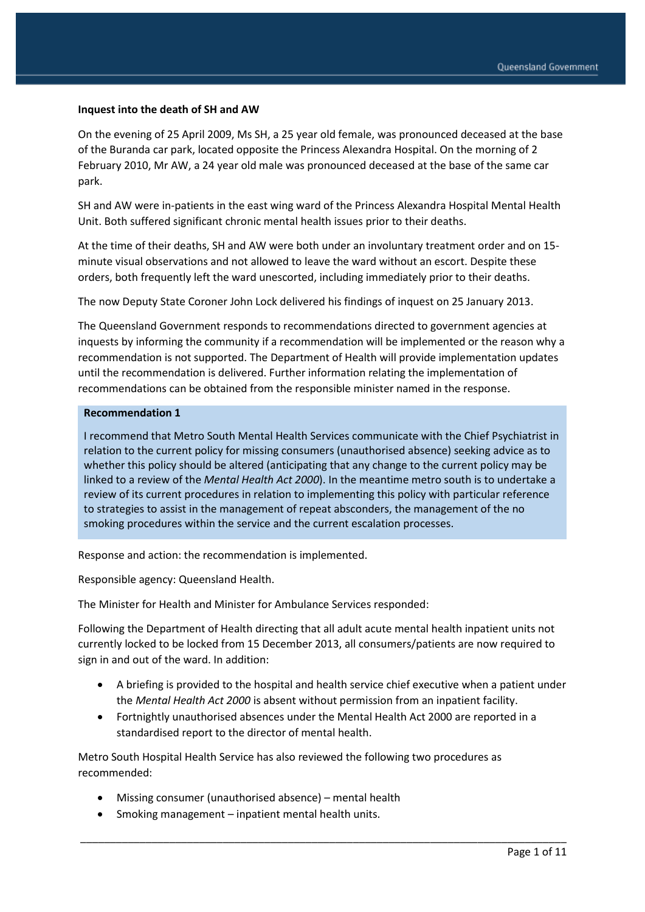#### **Inquest into the death of SH and AW**

On the evening of 25 April 2009, Ms SH, a 25 year old female, was pronounced deceased at the base of the Buranda car park, located opposite the Princess Alexandra Hospital. On the morning of 2 February 2010, Mr AW, a 24 year old male was pronounced deceased at the base of the same car park.

SH and AW were in-patients in the east wing ward of the Princess Alexandra Hospital Mental Health Unit. Both suffered significant chronic mental health issues prior to their deaths.

At the time of their deaths, SH and AW were both under an involuntary treatment order and on 15 minute visual observations and not allowed to leave the ward without an escort. Despite these orders, both frequently left the ward unescorted, including immediately prior to their deaths.

The now Deputy State Coroner John Lock delivered his findings of inquest on 25 January 2013.

The Queensland Government responds to recommendations directed to government agencies at inquests by informing the community if a recommendation will be implemented or the reason why a recommendation is not supported. The Department of Health will provide implementation updates until the recommendation is delivered. Further information relating the implementation of recommendations can be obtained from the responsible minister named in the response.

#### **Recommendation 1**

I recommend that Metro South Mental Health Services communicate with the Chief Psychiatrist in relation to the current policy for missing consumers (unauthorised absence) seeking advice as to whether this policy should be altered (anticipating that any change to the current policy may be linked to a review of the *Mental Health Act 2000*). In the meantime metro south is to undertake a review of its current procedures in relation to implementing this policy with particular reference to strategies to assist in the management of repeat absconders, the management of the no smoking procedures within the service and the current escalation processes.

Response and action: the recommendation is implemented.

Responsible agency: Queensland Health.

The Minister for Health and Minister for Ambulance Services responded:

Following the Department of Health directing that all adult acute mental health inpatient units not currently locked to be locked from 15 December 2013, all consumers/patients are now required to sign in and out of the ward. In addition:

- A briefing is provided to the hospital and health service chief executive when a patient under the *Mental Health Act 2000* is absent without permission from an inpatient facility.
- Fortnightly unauthorised absences under the Mental Health Act 2000 are reported in a standardised report to the director of mental health.

\_\_\_\_\_\_\_\_\_\_\_\_\_\_\_\_\_\_\_\_\_\_\_\_\_\_\_\_\_\_\_\_\_\_\_\_\_\_\_\_\_\_\_\_\_\_\_\_\_\_\_\_\_\_\_\_\_\_\_\_\_\_\_\_\_\_\_\_\_\_\_\_\_\_\_\_\_\_\_\_\_\_

Metro South Hospital Health Service has also reviewed the following two procedures as recommended:

- Missing consumer (unauthorised absence) mental health
- Smoking management inpatient mental health units.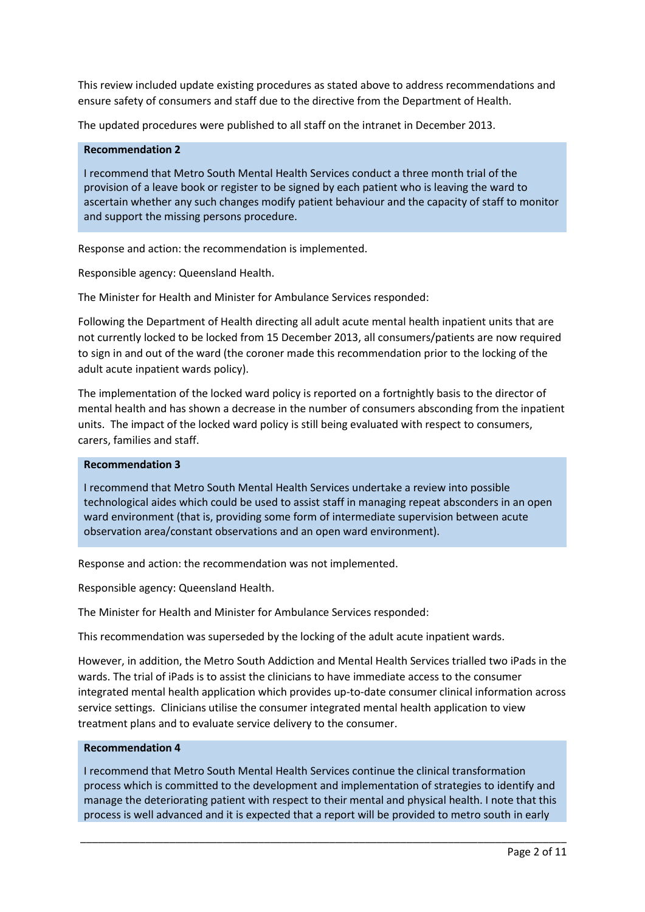This review included update existing procedures as stated above to address recommendations and ensure safety of consumers and staff due to the directive from the Department of Health.

The updated procedures were published to all staff on the intranet in December 2013.

### **Recommendation 2**

I recommend that Metro South Mental Health Services conduct a three month trial of the provision of a leave book or register to be signed by each patient who is leaving the ward to ascertain whether any such changes modify patient behaviour and the capacity of staff to monitor and support the missing persons procedure.

Response and action: the recommendation is implemented.

Responsible agency: Queensland Health.

The Minister for Health and Minister for Ambulance Services responded:

Following the Department of Health directing all adult acute mental health inpatient units that are not currently locked to be locked from 15 December 2013, all consumers/patients are now required to sign in and out of the ward (the coroner made this recommendation prior to the locking of the adult acute inpatient wards policy).

The implementation of the locked ward policy is reported on a fortnightly basis to the director of mental health and has shown a decrease in the number of consumers absconding from the inpatient units. The impact of the locked ward policy is still being evaluated with respect to consumers, carers, families and staff.

### **Recommendation 3**

I recommend that Metro South Mental Health Services undertake a review into possible technological aides which could be used to assist staff in managing repeat absconders in an open ward environment (that is, providing some form of intermediate supervision between acute observation area/constant observations and an open ward environment).

Response and action: the recommendation was not implemented.

Responsible agency: Queensland Health.

The Minister for Health and Minister for Ambulance Services responded:

This recommendation was superseded by the locking of the adult acute inpatient wards.

However, in addition, the Metro South Addiction and Mental Health Services trialled two iPads in the wards. The trial of iPads is to assist the clinicians to have immediate access to the consumer integrated mental health application which provides up-to-date consumer clinical information across service settings. Clinicians utilise the consumer integrated mental health application to view treatment plans and to evaluate service delivery to the consumer.

### **Recommendation 4**

I recommend that Metro South Mental Health Services continue the clinical transformation process which is committed to the development and implementation of strategies to identify and manage the deteriorating patient with respect to their mental and physical health. I note that this process is well advanced and it is expected that a report will be provided to metro south in early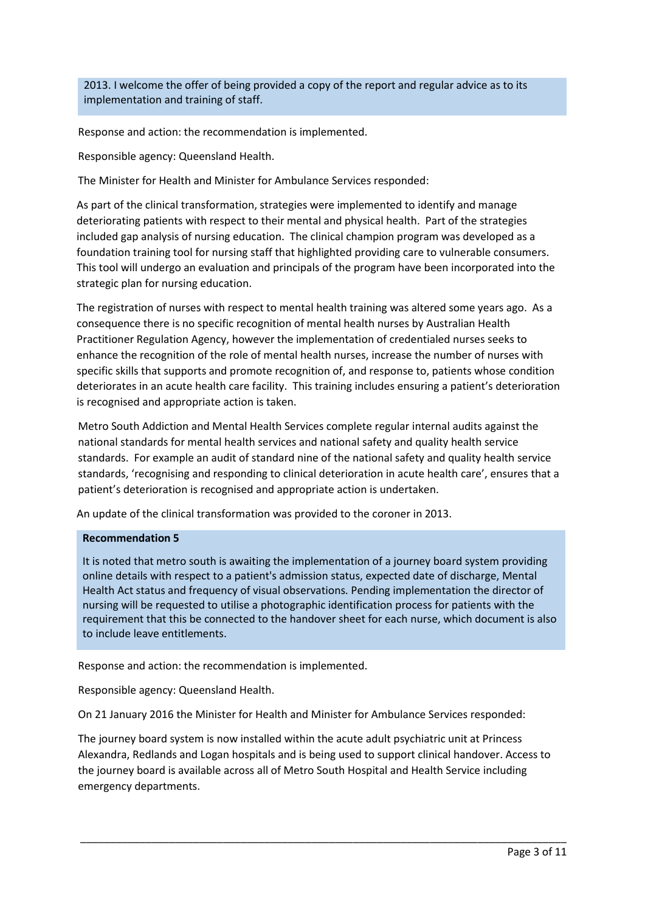2013. I welcome the offer of being provided a copy of the report and regular advice as to its implementation and training of staff.

Response and action: the recommendation is implemented.

Responsible agency: Queensland Health.

The Minister for Health and Minister for Ambulance Services responded:

As part of the clinical transformation, strategies were implemented to identify and manage deteriorating patients with respect to their mental and physical health. Part of the strategies included gap analysis of nursing education. The clinical champion program was developed as a foundation training tool for nursing staff that highlighted providing care to vulnerable consumers. This tool will undergo an evaluation and principals of the program have been incorporated into the strategic plan for nursing education.

The registration of nurses with respect to mental health training was altered some years ago. As a consequence there is no specific recognition of mental health nurses by Australian Health Practitioner Regulation Agency, however the implementation of credentialed nurses seeks to enhance the recognition of the role of mental health nurses, increase the number of nurses with specific skills that supports and promote recognition of, and response to, patients whose condition deteriorates in an acute health care facility. This training includes ensuring a patient's deterioration is recognised and appropriate action is taken.

Metro South Addiction and Mental Health Services complete regular internal audits against the national standards for mental health services and national safety and quality health service standards. For example an audit of standard nine of the national safety and quality health service standards, 'recognising and responding to clinical deterioration in acute health care', ensures that a patient's deterioration is recognised and appropriate action is undertaken.

An update of the clinical transformation was provided to the coroner in 2013.

### **Recommendation 5**

It is noted that metro south is awaiting the implementation of a journey board system providing online details with respect to a patient's admission status, expected date of discharge, Mental Health Act status and frequency of visual observations. Pending implementation the director of nursing will be requested to utilise a photographic identification process for patients with the requirement that this be connected to the handover sheet for each nurse, which document is also to include leave entitlements.

Response and action: the recommendation is implemented.

Responsible agency: Queensland Health.

On 21 January 2016 the Minister for Health and Minister for Ambulance Services responded:

The journey board system is now installed within the acute adult psychiatric unit at Princess Alexandra, Redlands and Logan hospitals and is being used to support clinical handover. Access to the journey board is available across all of Metro South Hospital and Health Service including emergency departments.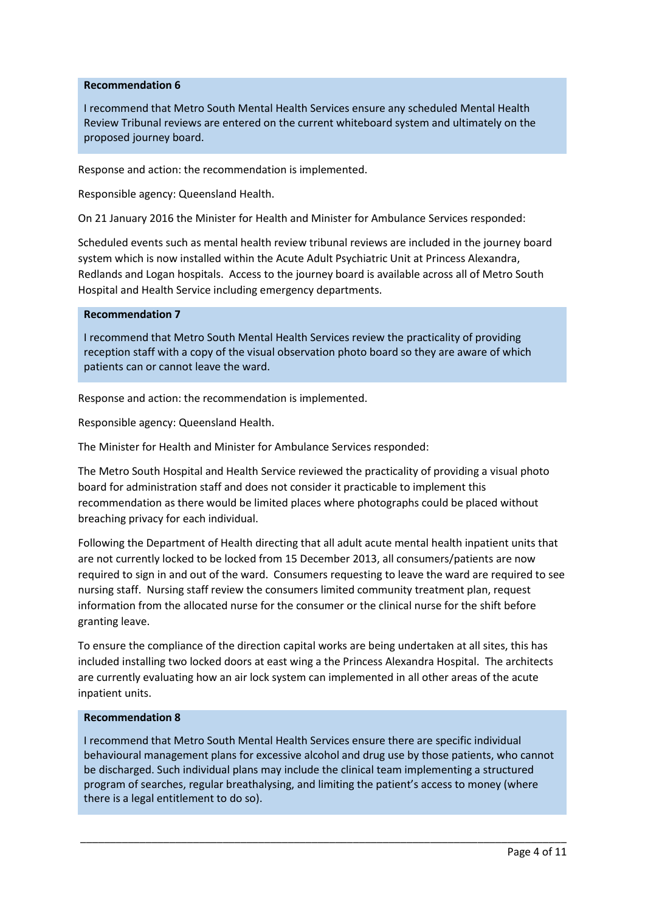### **Recommendation 6**

I recommend that Metro South Mental Health Services ensure any scheduled Mental Health Review Tribunal reviews are entered on the current whiteboard system and ultimately on the proposed journey board.

Response and action: the recommendation is implemented.

Responsible agency: Queensland Health.

On 21 January 2016 the Minister for Health and Minister for Ambulance Services responded:

Scheduled events such as mental health review tribunal reviews are included in the journey board system which is now installed within the Acute Adult Psychiatric Unit at Princess Alexandra, Redlands and Logan hospitals. Access to the journey board is available across all of Metro South Hospital and Health Service including emergency departments.

#### **Recommendation 7**

I recommend that Metro South Mental Health Services review the practicality of providing reception staff with a copy of the visual observation photo board so they are aware of which patients can or cannot leave the ward.

Response and action: the recommendation is implemented.

Responsible agency: Queensland Health.

The Minister for Health and Minister for Ambulance Services responded:

The Metro South Hospital and Health Service reviewed the practicality of providing a visual photo board for administration staff and does not consider it practicable to implement this recommendation as there would be limited places where photographs could be placed without breaching privacy for each individual.

Following the Department of Health directing that all adult acute mental health inpatient units that are not currently locked to be locked from 15 December 2013, all consumers/patients are now required to sign in and out of the ward. Consumers requesting to leave the ward are required to see nursing staff. Nursing staff review the consumers limited community treatment plan, request information from the allocated nurse for the consumer or the clinical nurse for the shift before granting leave.

To ensure the compliance of the direction capital works are being undertaken at all sites, this has included installing two locked doors at east wing a the Princess Alexandra Hospital. The architects are currently evaluating how an air lock system can implemented in all other areas of the acute inpatient units.

#### **Recommendation 8**

I recommend that Metro South Mental Health Services ensure there are specific individual behavioural management plans for excessive alcohol and drug use by those patients, who cannot be discharged. Such individual plans may include the clinical team implementing a structured program of searches, regular breathalysing, and limiting the patient's access to money (where there is a legal entitlement to do so).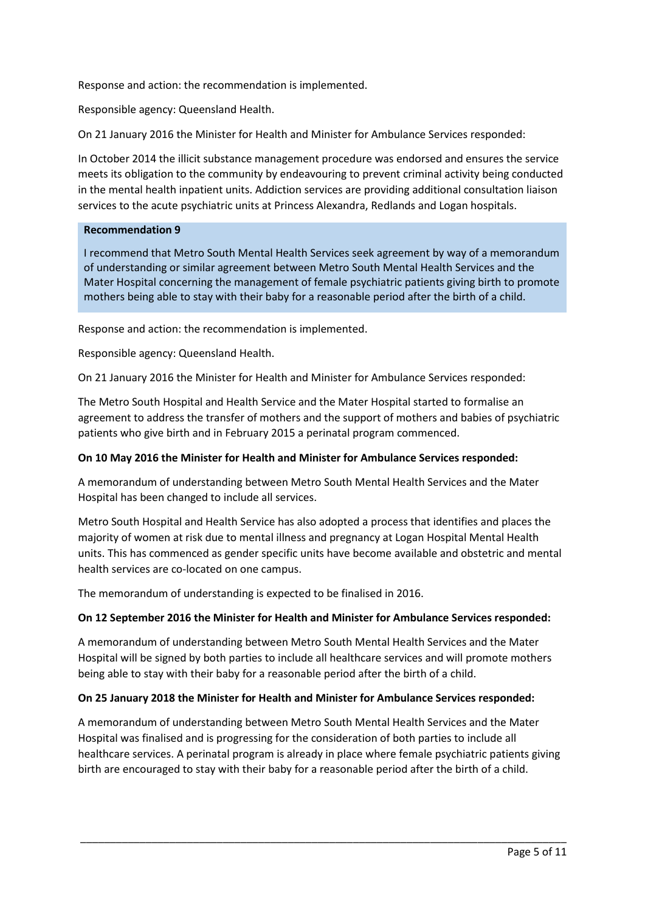Response and action: the recommendation is implemented.

Responsible agency: Queensland Health.

On 21 January 2016 the Minister for Health and Minister for Ambulance Services responded:

In October 2014 the illicit substance management procedure was endorsed and ensures the service meets its obligation to the community by endeavouring to prevent criminal activity being conducted in the mental health inpatient units. Addiction services are providing additional consultation liaison services to the acute psychiatric units at Princess Alexandra, Redlands and Logan hospitals.

### **Recommendation 9**

I recommend that Metro South Mental Health Services seek agreement by way of a memorandum of understanding or similar agreement between Metro South Mental Health Services and the Mater Hospital concerning the management of female psychiatric patients giving birth to promote mothers being able to stay with their baby for a reasonable period after the birth of a child.

Response and action: the recommendation is implemented.

Responsible agency: Queensland Health.

On 21 January 2016 the Minister for Health and Minister for Ambulance Services responded:

The Metro South Hospital and Health Service and the Mater Hospital started to formalise an agreement to address the transfer of mothers and the support of mothers and babies of psychiatric patients who give birth and in February 2015 a perinatal program commenced.

### **On 10 May 2016 the Minister for Health and Minister for Ambulance Services responded:**

A memorandum of understanding between Metro South Mental Health Services and the Mater Hospital has been changed to include all services.

Metro South Hospital and Health Service has also adopted a process that identifies and places the majority of women at risk due to mental illness and pregnancy at Logan Hospital Mental Health units. This has commenced as gender specific units have become available and obstetric and mental health services are co-located on one campus.

The memorandum of understanding is expected to be finalised in 2016.

### **On 12 September 2016 the Minister for Health and Minister for Ambulance Services responded:**

A memorandum of understanding between Metro South Mental Health Services and the Mater Hospital will be signed by both parties to include all healthcare services and will promote mothers being able to stay with their baby for a reasonable period after the birth of a child.

### **On 25 January 2018 the Minister for Health and Minister for Ambulance Services responded:**

A memorandum of understanding between Metro South Mental Health Services and the Mater Hospital was finalised and is progressing for the consideration of both parties to include all healthcare services. A perinatal program is already in place where female psychiatric patients giving birth are encouraged to stay with their baby for a reasonable period after the birth of a child.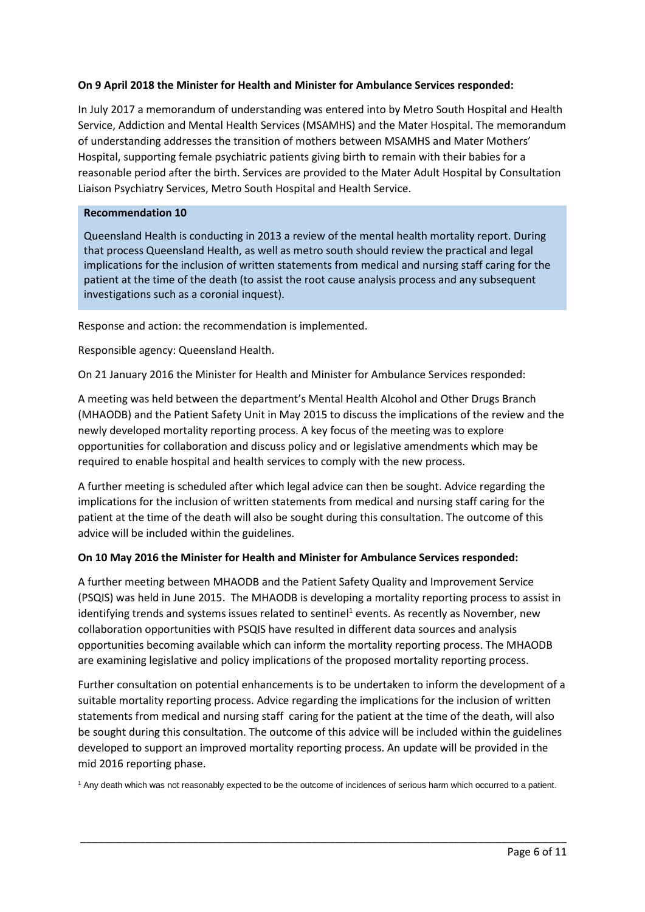# **On 9 April 2018 the Minister for Health and Minister for Ambulance Services responded:**

In July 2017 a memorandum of understanding was entered into by Metro South Hospital and Health Service, Addiction and Mental Health Services (MSAMHS) and the Mater Hospital. The memorandum of understanding addresses the transition of mothers between MSAMHS and Mater Mothers' Hospital, supporting female psychiatric patients giving birth to remain with their babies for a reasonable period after the birth. Services are provided to the Mater Adult Hospital by Consultation Liaison Psychiatry Services, Metro South Hospital and Health Service.

### **Recommendation 10**

Queensland Health is conducting in 2013 a review of the mental health mortality report. During that process Queensland Health, as well as metro south should review the practical and legal implications for the inclusion of written statements from medical and nursing staff caring for the patient at the time of the death (to assist the root cause analysis process and any subsequent investigations such as a coronial inquest).

Response and action: the recommendation is implemented.

Responsible agency: Queensland Health.

On 21 January 2016 the Minister for Health and Minister for Ambulance Services responded:

A meeting was held between the department's Mental Health Alcohol and Other Drugs Branch (MHAODB) and the Patient Safety Unit in May 2015 to discuss the implications of the review and the newly developed mortality reporting process. A key focus of the meeting was to explore opportunities for collaboration and discuss policy and or legislative amendments which may be required to enable hospital and health services to comply with the new process.

A further meeting is scheduled after which legal advice can then be sought. Advice regarding the implications for the inclusion of written statements from medical and nursing staff caring for the patient at the time of the death will also be sought during this consultation. The outcome of this advice will be included within the guidelines.

### **On 10 May 2016 the Minister for Health and Minister for Ambulance Services responded:**

A further meeting between MHAODB and the Patient Safety Quality and Improvement Service (PSQIS) was held in June 2015. The MHAODB is developing a mortality reporting process to assist in identifying trends and systems issues related to sentinel<sup>1</sup> events. As recently as November, new collaboration opportunities with PSQIS have resulted in different data sources and analysis opportunities becoming available which can inform the mortality reporting process. The MHAODB are examining legislative and policy implications of the proposed mortality reporting process.

Further consultation on potential enhancements is to be undertaken to inform the development of a suitable mortality reporting process. Advice regarding the implications for the inclusion of written statements from medical and nursing staff caring for the patient at the time of the death, will also be sought during this consultation. The outcome of this advice will be included within the guidelines developed to support an improved mortality reporting process. An update will be provided in the mid 2016 reporting phase.

<sup>1</sup> Any death which was not reasonably expected to be the outcome of incidences of serious harm which occurred to a patient.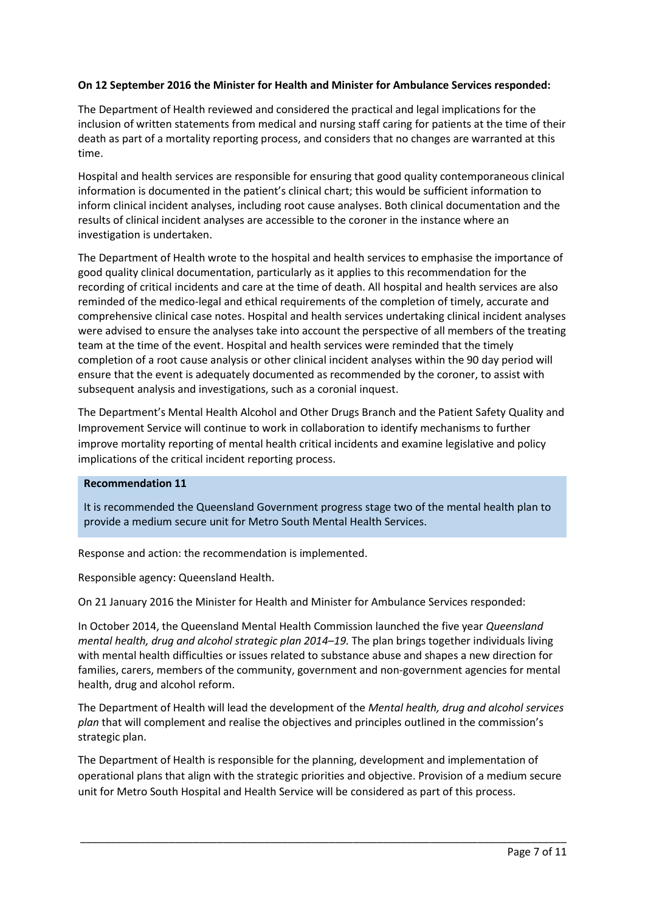# **On 12 September 2016 the Minister for Health and Minister for Ambulance Services responded:**

The Department of Health reviewed and considered the practical and legal implications for the inclusion of written statements from medical and nursing staff caring for patients at the time of their death as part of a mortality reporting process, and considers that no changes are warranted at this time.

Hospital and health services are responsible for ensuring that good quality contemporaneous clinical information is documented in the patient's clinical chart; this would be sufficient information to inform clinical incident analyses, including root cause analyses. Both clinical documentation and the results of clinical incident analyses are accessible to the coroner in the instance where an investigation is undertaken.

The Department of Health wrote to the hospital and health services to emphasise the importance of good quality clinical documentation, particularly as it applies to this recommendation for the recording of critical incidents and care at the time of death. All hospital and health services are also reminded of the medico-legal and ethical requirements of the completion of timely, accurate and comprehensive clinical case notes. Hospital and health services undertaking clinical incident analyses were advised to ensure the analyses take into account the perspective of all members of the treating team at the time of the event. Hospital and health services were reminded that the timely completion of a root cause analysis or other clinical incident analyses within the 90 day period will ensure that the event is adequately documented as recommended by the coroner, to assist with subsequent analysis and investigations, such as a coronial inquest.

The Department's Mental Health Alcohol and Other Drugs Branch and the Patient Safety Quality and Improvement Service will continue to work in collaboration to identify mechanisms to further improve mortality reporting of mental health critical incidents and examine legislative and policy implications of the critical incident reporting process.

### **Recommendation 11**

It is recommended the Queensland Government progress stage two of the mental health plan to provide a medium secure unit for Metro South Mental Health Services.

Response and action: the recommendation is implemented.

Responsible agency: Queensland Health.

On 21 January 2016 the Minister for Health and Minister for Ambulance Services responded:

In October 2014, the Queensland Mental Health Commission launched the five year *Queensland mental health, drug and alcohol strategic plan 2014–19.* The plan brings together individuals living with mental health difficulties or issues related to substance abuse and shapes a new direction for families, carers, members of the community, government and non-government agencies for mental health, drug and alcohol reform.

The Department of Health will lead the development of the *Mental health, drug and alcohol services plan* that will complement and realise the objectives and principles outlined in the commission's strategic plan.

The Department of Health is responsible for the planning, development and implementation of operational plans that align with the strategic priorities and objective. Provision of a medium secure unit for Metro South Hospital and Health Service will be considered as part of this process.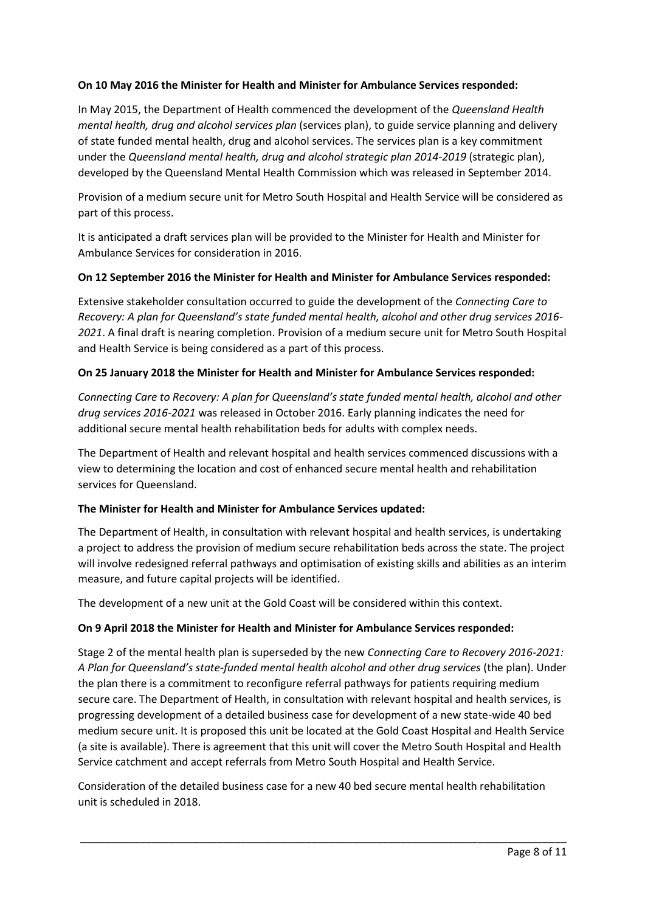# **On 10 May 2016 the Minister for Health and Minister for Ambulance Services responded:**

In May 2015, the Department of Health commenced the development of the *Queensland Health mental health, drug and alcohol services plan* (services plan), to guide service planning and delivery of state funded mental health, drug and alcohol services. The services plan is a key commitment under the *Queensland mental health, drug and alcohol strategic plan 2014-2019* (strategic plan), developed by the Queensland Mental Health Commission which was released in September 2014.

Provision of a medium secure unit for Metro South Hospital and Health Service will be considered as part of this process.

It is anticipated a draft services plan will be provided to the Minister for Health and Minister for Ambulance Services for consideration in 2016.

### **On 12 September 2016 the Minister for Health and Minister for Ambulance Services responded:**

Extensive stakeholder consultation occurred to guide the development of the *Connecting Care to Recovery: A plan for Queensland's state funded mental health, alcohol and other drug services 2016- 2021*. A final draft is nearing completion. Provision of a medium secure unit for Metro South Hospital and Health Service is being considered as a part of this process.

## **On 25 January 2018 the Minister for Health and Minister for Ambulance Services responded:**

*Connecting Care to Recovery: A plan for Queensland's state funded mental health, alcohol and other drug services 2016-2021* was released in October 2016. Early planning indicates the need for additional secure mental health rehabilitation beds for adults with complex needs.

The Department of Health and relevant hospital and health services commenced discussions with a view to determining the location and cost of enhanced secure mental health and rehabilitation services for Queensland.

### **The Minister for Health and Minister for Ambulance Services updated:**

The Department of Health, in consultation with relevant hospital and health services, is undertaking a project to address the provision of medium secure rehabilitation beds across the state. The project will involve redesigned referral pathways and optimisation of existing skills and abilities as an interim measure, and future capital projects will be identified.

The development of a new unit at the Gold Coast will be considered within this context.

### **On 9 April 2018 the Minister for Health and Minister for Ambulance Services responded:**

Stage 2 of the mental health plan is superseded by the new *Connecting Care to Recovery 2016-2021: A Plan for Queensland's state-funded mental health alcohol and other drug services* (the plan). Under the plan there is a commitment to reconfigure referral pathways for patients requiring medium secure care. The Department of Health, in consultation with relevant hospital and health services, is progressing development of a detailed business case for development of a new state-wide 40 bed medium secure unit. It is proposed this unit be located at the Gold Coast Hospital and Health Service (a site is available). There is agreement that this unit will cover the Metro South Hospital and Health Service catchment and accept referrals from Metro South Hospital and Health Service.

Consideration of the detailed business case for a new 40 bed secure mental health rehabilitation unit is scheduled in 2018.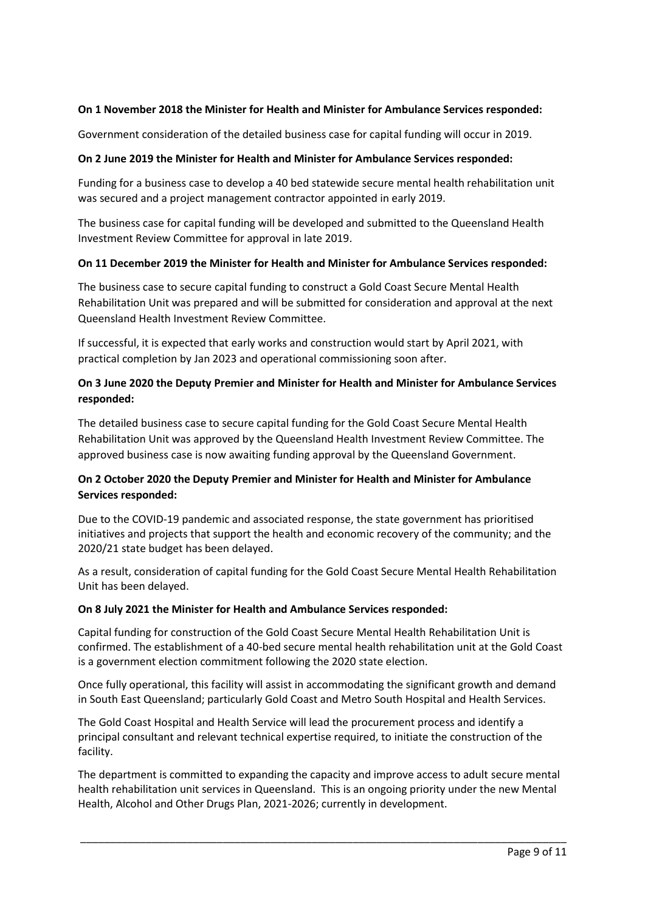# **On 1 November 2018 the Minister for Health and Minister for Ambulance Services responded:**

Government consideration of the detailed business case for capital funding will occur in 2019.

# **On 2 June 2019 the Minister for Health and Minister for Ambulance Services responded:**

Funding for a business case to develop a 40 bed statewide secure mental health rehabilitation unit was secured and a project management contractor appointed in early 2019.

The business case for capital funding will be developed and submitted to the Queensland Health Investment Review Committee for approval in late 2019.

## **On 11 December 2019 the Minister for Health and Minister for Ambulance Services responded:**

The business case to secure capital funding to construct a Gold Coast Secure Mental Health Rehabilitation Unit was prepared and will be submitted for consideration and approval at the next Queensland Health Investment Review Committee.

If successful, it is expected that early works and construction would start by April 2021, with practical completion by Jan 2023 and operational commissioning soon after.

# **On 3 June 2020 the Deputy Premier and Minister for Health and Minister for Ambulance Services responded:**

The detailed business case to secure capital funding for the Gold Coast Secure Mental Health Rehabilitation Unit was approved by the Queensland Health Investment Review Committee. The approved business case is now awaiting funding approval by the Queensland Government.

# **On 2 October 2020 the Deputy Premier and Minister for Health and Minister for Ambulance Services responded:**

Due to the COVID-19 pandemic and associated response, the state government has prioritised initiatives and projects that support the health and economic recovery of the community; and the 2020/21 state budget has been delayed.

As a result, consideration of capital funding for the Gold Coast Secure Mental Health Rehabilitation Unit has been delayed.

### **On 8 July 2021 the Minister for Health and Ambulance Services responded:**

Capital funding for construction of the Gold Coast Secure Mental Health Rehabilitation Unit is confirmed. The establishment of a 40-bed secure mental health rehabilitation unit at the Gold Coast is a government election commitment following the 2020 state election.

Once fully operational, this facility will assist in accommodating the significant growth and demand in South East Queensland; particularly Gold Coast and Metro South Hospital and Health Services.

The Gold Coast Hospital and Health Service will lead the procurement process and identify a principal consultant and relevant technical expertise required, to initiate the construction of the facility.

The department is committed to expanding the capacity and improve access to adult secure mental health rehabilitation unit services in Queensland. This is an ongoing priority under the new Mental Health, Alcohol and Other Drugs Plan, 2021-2026; currently in development.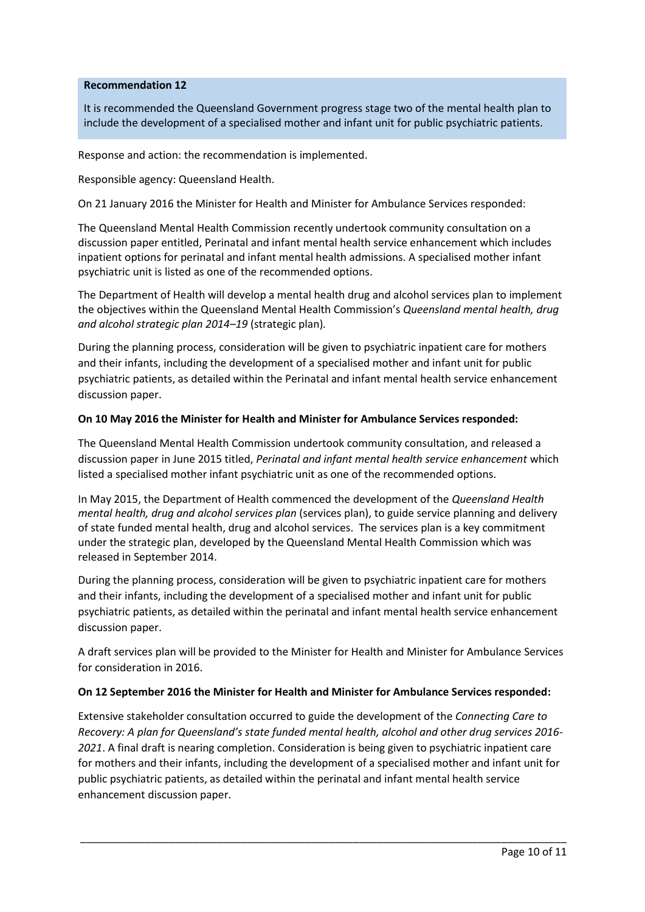### **Recommendation 12**

It is recommended the Queensland Government progress stage two of the mental health plan to include the development of a specialised mother and infant unit for public psychiatric patients.

Response and action: the recommendation is implemented.

Responsible agency: Queensland Health.

On 21 January 2016 the Minister for Health and Minister for Ambulance Services responded:

The Queensland Mental Health Commission recently undertook community consultation on a discussion paper entitled, Perinatal and infant mental health service enhancement which includes inpatient options for perinatal and infant mental health admissions. A specialised mother infant psychiatric unit is listed as one of the recommended options.

The Department of Health will develop a mental health drug and alcohol services plan to implement the objectives within the Queensland Mental Health Commission's *Queensland mental health, drug and alcohol strategic plan 2014–19* (strategic plan)*.*

During the planning process, consideration will be given to psychiatric inpatient care for mothers and their infants, including the development of a specialised mother and infant unit for public psychiatric patients, as detailed within the Perinatal and infant mental health service enhancement discussion paper.

## **On 10 May 2016 the Minister for Health and Minister for Ambulance Services responded:**

The Queensland Mental Health Commission undertook community consultation, and released a discussion paper in June 2015 titled, *Perinatal and infant mental health service enhancement* which listed a specialised mother infant psychiatric unit as one of the recommended options.

In May 2015, the Department of Health commenced the development of the *Queensland Health mental health, drug and alcohol services plan* (services plan), to guide service planning and delivery of state funded mental health, drug and alcohol services. The services plan is a key commitment under the strategic plan, developed by the Queensland Mental Health Commission which was released in September 2014.

During the planning process, consideration will be given to psychiatric inpatient care for mothers and their infants, including the development of a specialised mother and infant unit for public psychiatric patients, as detailed within the perinatal and infant mental health service enhancement discussion paper.

A draft services plan will be provided to the Minister for Health and Minister for Ambulance Services for consideration in 2016.

### **On 12 September 2016 the Minister for Health and Minister for Ambulance Services responded:**

Extensive stakeholder consultation occurred to guide the development of the *Connecting Care to Recovery: A plan for Queensland's state funded mental health, alcohol and other drug services 2016- 2021*. A final draft is nearing completion. Consideration is being given to psychiatric inpatient care for mothers and their infants, including the development of a specialised mother and infant unit for public psychiatric patients, as detailed within the perinatal and infant mental health service enhancement discussion paper.